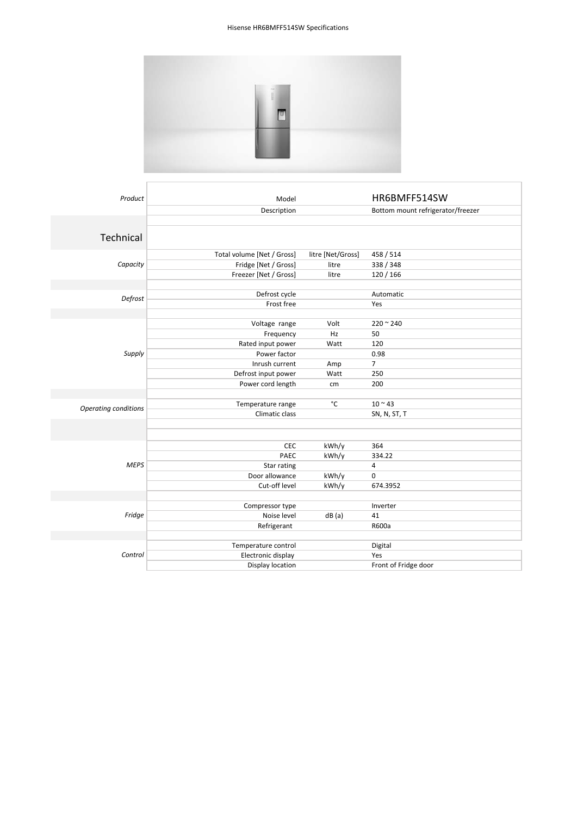

| Product              | Model                      |                   | HR6BMFF514SW                      |
|----------------------|----------------------------|-------------------|-----------------------------------|
|                      | Description                |                   | Bottom mount refrigerator/freezer |
|                      |                            |                   |                                   |
| Technical            |                            |                   |                                   |
|                      | Total volume [Net / Gross] | litre [Net/Gross] | 458 / 514                         |
| Capacity             | Fridge [Net / Gross]       | litre             | 338 / 348                         |
|                      | Freezer [Net / Gross]      | litre             | 120 / 166                         |
|                      |                            |                   |                                   |
| Defrost              | Defrost cycle              |                   | Automatic                         |
|                      | Frost free                 |                   | Yes                               |
|                      |                            |                   |                                   |
|                      | Voltage range              | Volt              | $220 - 240$                       |
|                      | Frequency                  | Hz                | 50                                |
|                      | Rated input power          | Watt              | 120                               |
| Supply               | Power factor               |                   | 0.98                              |
|                      | Inrush current             | Amp               | $\overline{7}$                    |
|                      | Defrost input power        | Watt              | 250                               |
|                      | Power cord length          | cm                | 200                               |
|                      |                            |                   |                                   |
| Operating conditions | Temperature range          | $^{\circ}$ C      | $10 - 43$                         |
|                      | Climatic class             |                   | SN, N, ST, T                      |
|                      |                            |                   |                                   |
|                      |                            |                   |                                   |
|                      | CEC                        | kWh/y             | 364                               |
|                      | PAEC                       | kWh/y             | 334.22                            |
| <b>MEPS</b>          | Star rating                |                   | 4                                 |
|                      | Door allowance             | kWh/y             | 0                                 |
|                      | Cut-off level              | kWh/y             | 674.3952                          |
|                      |                            |                   |                                   |
|                      | Compressor type            |                   | Inverter                          |
| Fridge               | Noise level                | dB(a)             | 41<br>R600a                       |
|                      | Refrigerant                |                   |                                   |
|                      | Temperature control        |                   | Digital                           |
| Control              | Electronic display         |                   | Yes                               |
|                      | Display location           |                   | Front of Fridge door              |
|                      |                            |                   |                                   |